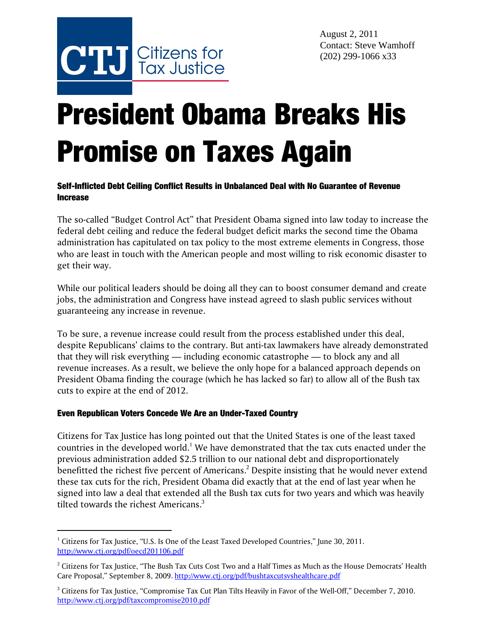

# President Obama Breaks His Promise on Taxes Again

## Self-Inflicted Debt Ceiling Conflict Results in Unbalanced Deal with No Guarantee of Revenue **Increase**

The so-called "Budget Control Act" that President Obama signed into law today to increase the federal debt ceiling and reduce the federal budget deficit marks the second time the Obama administration has capitulated on tax policy to the most extreme elements in Congress, those who are least in touch with the American people and most willing to risk economic disaster to get their way.

While our political leaders should be doing all they can to boost consumer demand and create jobs, the administration and Congress have instead agreed to slash public services without guaranteeing any increase in revenue.

To be sure, a revenue increase could result from the process established under this deal, despite Republicans' claims to the contrary. But anti-tax lawmakers have already demonstrated that they will risk everything — including economic catastrophe — to block any and all revenue increases. As a result, we believe the only hope for a balanced approach depends on President Obama finding the courage (which he has lacked so far) to allow all of the Bush tax cuts to expire at the end of 2012.

## Even Republican Voters Concede We Are an Under-Taxed Country

Citizens for Tax Justice has long pointed out that the United States is one of the least taxed countries in the developed world. $^1$  We have demonstrated that the tax cuts enacted under the previous administration added \$2.5 trillion to our national debt and disproportionately benefitted the richest five percent of Americans. $^2$  Despite insisting that he would never extend these tax cuts for the rich, President Obama did exactly that at the end of last year when he signed into law a deal that extended all the Bush tax cuts for two years and which was heavily tilted towards the richest Americans.<sup>3</sup>

<sup>&</sup>lt;sup>1</sup> Citizens for Tax Justice, "U.S. Is One of the Least Taxed Developed Countries," June 30, 2011. http://www.ctj.org/pdf/oecd201106.pdf

 $^2$  Citizens for Tax Justice, "The Bush Tax Cuts Cost Two and a Half Times as Much as the House Democrats' Health Care Proposal," September 8, 2009. http://www.ctj.org/pdf/bushtaxcutsvshealthcare.pdf

 $^3$  Citizens for Tax Justice, "Compromise Tax Cut Plan Tilts Heavily in Favor of the Well-Off," December 7, 2010. http://www.ctj.org/pdf/taxcompromise2010.pdf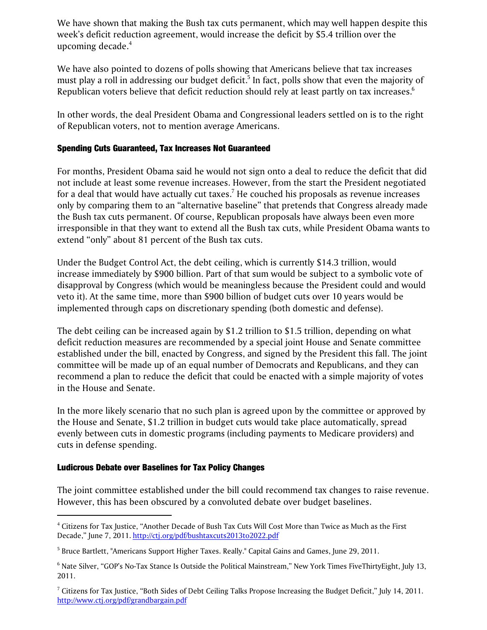We have shown that making the Bush tax cuts permanent, which may well happen despite this week's deficit reduction agreement, would increase the deficit by \$5.4 trillion over the upcoming decade. $4$ 

We have also pointed to dozens of polls showing that Americans believe that tax increases must play a roll in addressing our budget deficit. $^5$  In fact, polls show that even the majority of Republican voters believe that deficit reduction should rely at least partly on tax increases.<sup>6</sup>

In other words, the deal President Obama and Congressional leaders settled on is to the right of Republican voters, not to mention average Americans.

### Spending Cuts Guaranteed, Tax Increases Not Guaranteed

For months, President Obama said he would not sign onto a deal to reduce the deficit that did not include at least some revenue increases. However, from the start the President negotiated for a deal that would have actually cut taxes. $^7$  He couched his proposals as revenue increases only by comparing them to an "alternative baseline" that pretends that Congress already made the Bush tax cuts permanent. Of course, Republican proposals have always been even more irresponsible in that they want to extend all the Bush tax cuts, while President Obama wants to extend "only" about 81 percent of the Bush tax cuts.

Under the Budget Control Act, the debt ceiling, which is currently \$14.3 trillion, would increase immediately by \$900 billion. Part of that sum would be subject to a symbolic vote of disapproval by Congress (which would be meaningless because the President could and would veto it). At the same time, more than \$900 billion of budget cuts over 10 years would be implemented through caps on discretionary spending (both domestic and defense).

The debt ceiling can be increased again by \$1.2 trillion to \$1.5 trillion, depending on what deficit reduction measures are recommended by a special joint House and Senate committee established under the bill, enacted by Congress, and signed by the President this fall. The joint committee will be made up of an equal number of Democrats and Republicans, and they can recommend a plan to reduce the deficit that could be enacted with a simple majority of votes in the House and Senate.

In the more likely scenario that no such plan is agreed upon by the committee or approved by the House and Senate, \$1.2 trillion in budget cuts would take place automatically, spread evenly between cuts in domestic programs (including payments to Medicare providers) and cuts in defense spending.

## Ludicrous Debate over Baselines for Tax Policy Changes

The joint committee established under the bill could recommend tax changes to raise revenue. However, this has been obscured by a convoluted debate over budget baselines.

<sup>4</sup> Citizens for Tax Justice, "Another Decade of Bush Tax Cuts Will Cost More than Twice as Much as the First Decade," June 7, 2011. http://ctj.org/pdf/bushtaxcuts2013to2022.pdf

<sup>&</sup>lt;sup>5</sup> Bruce Bartlett, "Americans Support Higher Taxes. Really." Capital Gains and Games, June 29, 2011.

<sup>6</sup> Nate Silver, "GOP's No-Tax Stance Is Outside the Political Mainstream," New York Times FiveThirtyEight, July 13, 2011.

 $^7$  Citizens for Tax Justice, "Both Sides of Debt Ceiling Talks Propose Increasing the Budget Deficit," July 14, 2011. http://www.ctj.org/pdf/grandbargain.pdf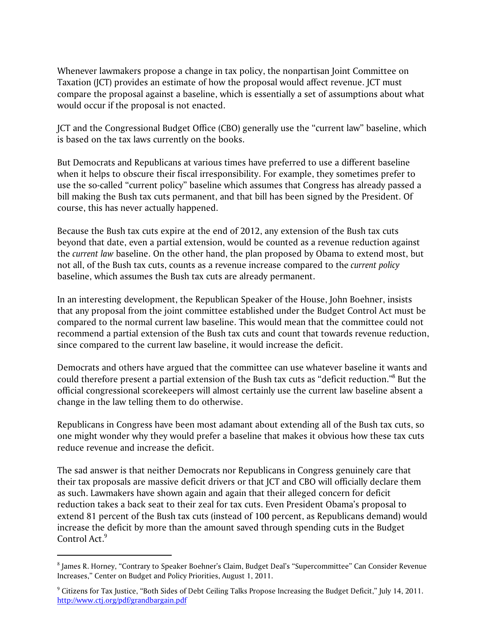Whenever lawmakers propose a change in tax policy, the nonpartisan Joint Committee on Taxation (JCT) provides an estimate of how the proposal would affect revenue. JCT must compare the proposal against a baseline, which is essentially a set of assumptions about what would occur if the proposal is not enacted.

JCT and the Congressional Budget Office (CBO) generally use the "current law" baseline, which is based on the tax laws currently on the books.

But Democrats and Republicans at various times have preferred to use a different baseline when it helps to obscure their fiscal irresponsibility. For example, they sometimes prefer to use the so-called "current policy" baseline which assumes that Congress has already passed a bill making the Bush tax cuts permanent, and that bill has been signed by the President. Of course, this has never actually happened.

Because the Bush tax cuts expire at the end of 2012, any extension of the Bush tax cuts beyond that date, even a partial extension, would be counted as a revenue reduction against the *current law* baseline. On the other hand, the plan proposed by Obama to extend most, but not all, of the Bush tax cuts, counts as a revenue increase compared to the *current policy* baseline, which assumes the Bush tax cuts are already permanent.

In an interesting development, the Republican Speaker of the House, John Boehner, insists that any proposal from the joint committee established under the Budget Control Act must be compared to the normal current law baseline. This would mean that the committee could not recommend a partial extension of the Bush tax cuts and count that towards revenue reduction, since compared to the current law baseline, it would increase the deficit.

Democrats and others have argued that the committee can use whatever baseline it wants and could therefore present a partial extension of the Bush tax cuts as "deficit reduction."8 But the official congressional scorekeepers will almost certainly use the current law baseline absent a change in the law telling them to do otherwise.

Republicans in Congress have been most adamant about extending all of the Bush tax cuts, so one might wonder why they would prefer a baseline that makes it obvious how these tax cuts reduce revenue and increase the deficit.

The sad answer is that neither Democrats nor Republicans in Congress genuinely care that their tax proposals are massive deficit drivers or that JCT and CBO will officially declare them as such. Lawmakers have shown again and again that their alleged concern for deficit reduction takes a back seat to their zeal for tax cuts. Even President Obama's proposal to extend 81 percent of the Bush tax cuts (instead of 100 percent, as Republicans demand) would increase the deficit by more than the amount saved through spending cuts in the Budget Control Act.<sup>9</sup>

 $^{\rm 8}$  James R. Horney, "Contrary to Speaker Boehner's Claim, Budget Deal's "Supercommittee" Can Consider Revenue Increases," Center on Budget and Policy Priorities, August 1, 2011.

<sup>&</sup>lt;sup>9</sup> Citizens for Tax Justice, "Both Sides of Debt Ceiling Talks Propose Increasing the Budget Deficit," July 14, 2011. http://www.ctj.org/pdf/grandbargain.pdf